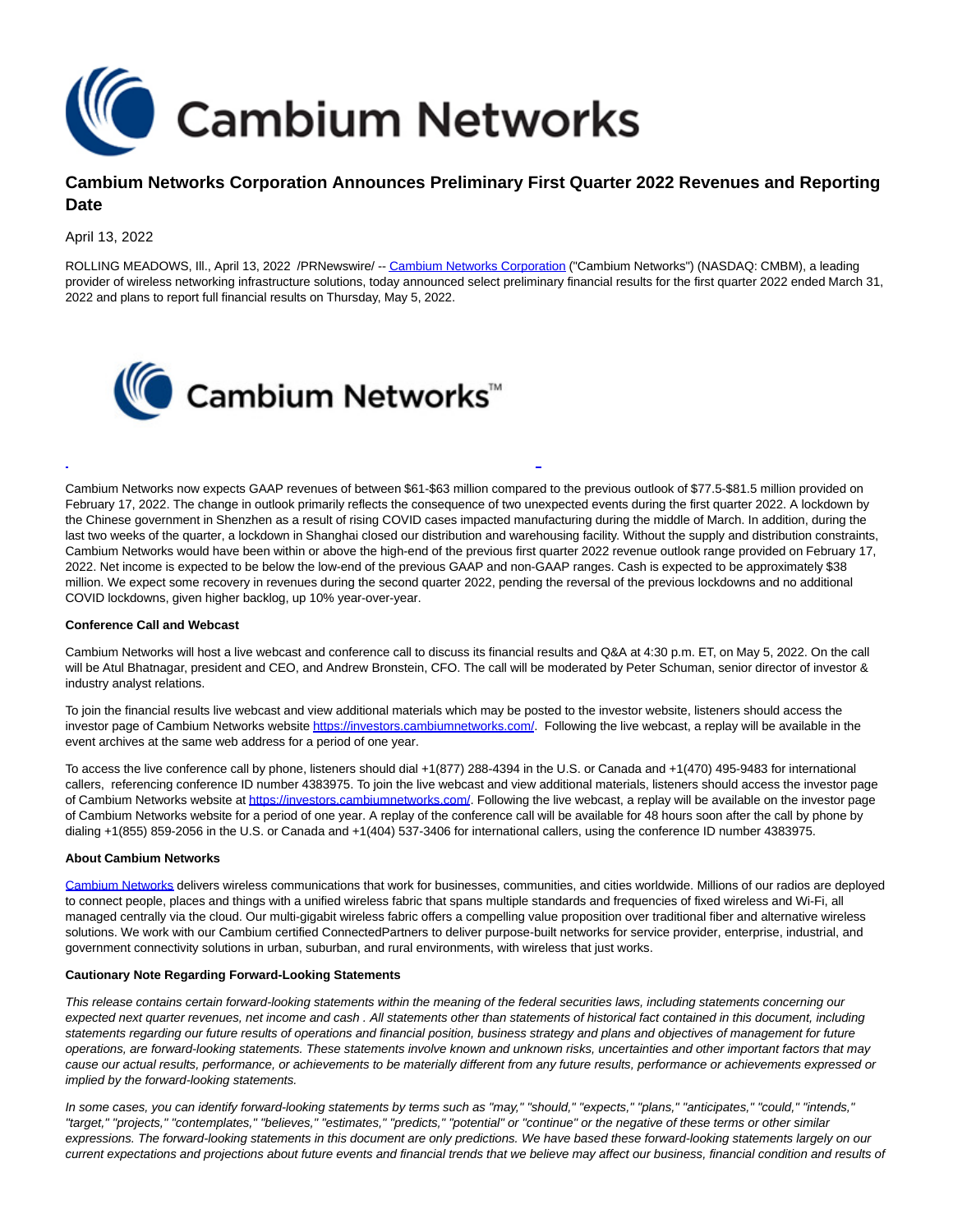

# **Cambium Networks Corporation Announces Preliminary First Quarter 2022 Revenues and Reporting Date**

April 13, 2022

ROLLING MEADOWS, Ill., April 13, 2022 /PRNewswire/ -[- Cambium Networks Corporation \(](https://c212.net/c/link/?t=0&l=en&o=3503770-1&h=2846537335&u=https%3A%2F%2Fwww.cambiumnetworks.com.%2F&a=Cambium+Networks+Corporation)"Cambium Networks") (NASDAQ: CMBM), a leading provider of wireless networking infrastructure solutions, today announced select preliminary financial results for the first quarter 2022 ended March 31, 2022 and plans to report full financial results on Thursday, May 5, 2022.



Cambium Networks now expects GAAP revenues of between \$61-\$63 million compared to the previous outlook of \$77.5-\$81.5 million provided on February 17, 2022. The change in outlook primarily reflects the consequence of two unexpected events during the first quarter 2022. A lockdown by the Chinese government in Shenzhen as a result of rising COVID cases impacted manufacturing during the middle of March. In addition, during the last two weeks of the quarter, a lockdown in Shanghai closed our distribution and warehousing facility. Without the supply and distribution constraints, Cambium Networks would have been within or above the high-end of the previous first quarter 2022 revenue outlook range provided on February 17, 2022. Net income is expected to be below the low-end of the previous GAAP and non-GAAP ranges. Cash is expected to be approximately \$38 million. We expect some recovery in revenues during the second quarter 2022, pending the reversal of the previous lockdowns and no additional COVID lockdowns, given higher backlog, up 10% year-over-year.

 $\overline{a}$ 

#### **Conference Call and Webcast**

Cambium Networks will host a live webcast and conference call to discuss its financial results and Q&A at 4:30 p.m. ET, on May 5, 2022. On the call will be Atul Bhatnagar, president and CEO, and Andrew Bronstein, CFO. The call will be moderated by Peter Schuman, senior director of investor & industry analyst relations.

To join the financial results live webcast and view additional materials which may be posted to the investor website, listeners should access the investor page of Cambium Networks websit[e https://investors.cambiumnetworks.com/.](https://c212.net/c/link/?t=0&l=en&o=3503770-1&h=1790047087&u=https%3A%2F%2Finvestors.cambiumnetworks.com%2F&a=https%3A%2F%2Finvestors.cambiumnetworks.com%2F) Following the live webcast, a replay will be available in the event archives at the same web address for a period of one year.

To access the live conference call by phone, listeners should dial +1(877) 288-4394 in the U.S. or Canada and +1(470) 495-9483 for international callers, referencing conference ID number 4383975. To join the live webcast and view additional materials, listeners should access the investor page of Cambium Networks website a[t https://investors.cambiumnetworks.com/.](https://c212.net/c/link/?t=0&l=en&o=3503770-1&h=1790047087&u=https%3A%2F%2Finvestors.cambiumnetworks.com%2F&a=https%3A%2F%2Finvestors.cambiumnetworks.com%2F) Following the live webcast, a replay will be available on the investor page of Cambium Networks website for a period of one year. A replay of the conference call will be available for 48 hours soon after the call by phone by dialing +1(855) 859-2056 in the U.S. or Canada and +1(404) 537-3406 for international callers, using the conference ID number 4383975.

## **About Cambium Networks**

[Cambium Networks d](https://c212.net/c/link/?t=0&l=en&o=3503770-1&h=279991639&u=https%3A%2F%2Fnam12.safelinks.protection.outlook.com%2F%3Furl%3Dhttps%253A%252F%252Fwww.cambiumnetworks.com%252F%26data%3D04%257C01%257Cpeter.schuman%2540cambiumnetworks.com%257C34cb07afb8264954fcec08d8c96f03c8%257C0e263e36340946228ac818d993e76eb6%257C0%257C0%257C637480825928721120%257CUnknown%257CTWFpbGZsb3d8eyJWIjoiMC4wLjAwMDAiLCJQIjoiV2luMzIiLCJBTiI6Ik1haWwiLCJXVCI6Mn0%253D%257C1000%26sdata%3D4FKGWlWWNMelKCLL8SKXZ1fkWzZCjZxHhX8UsH0j%252Fvo%253D%26reserved%3D0&a=Cambium+Networks)elivers wireless communications that work for businesses, communities, and cities worldwide. Millions of our radios are deployed to connect people, places and things with a unified wireless fabric that spans multiple standards and frequencies of fixed wireless and Wi-Fi, all managed centrally via the cloud. Our multi-gigabit wireless fabric offers a compelling value proposition over traditional fiber and alternative wireless solutions. We work with our Cambium certified ConnectedPartners to deliver purpose-built networks for service provider, enterprise, industrial, and government connectivity solutions in urban, suburban, and rural environments, with wireless that just works.

## **Cautionary Note Regarding Forward-Looking Statements**

This release contains certain forward-looking statements within the meaning of the federal securities laws, including statements concerning our expected next quarter revenues, net income and cash . All statements other than statements of historical fact contained in this document, including statements regarding our future results of operations and financial position, business strategy and plans and objectives of management for future operations, are forward-looking statements. These statements involve known and unknown risks, uncertainties and other important factors that may cause our actual results, performance, or achievements to be materially different from any future results, performance or achievements expressed or implied by the forward-looking statements.

In some cases, you can identify forward-looking statements by terms such as "may," "should," "expects," "plans," "anticipates," "could," "intends," "target," "projects," "contemplates," "believes," "estimates," "predicts," "potential" or "continue" or the negative of these terms or other similar expressions. The forward-looking statements in this document are only predictions. We have based these forward-looking statements largely on our current expectations and projections about future events and financial trends that we believe may affect our business, financial condition and results of